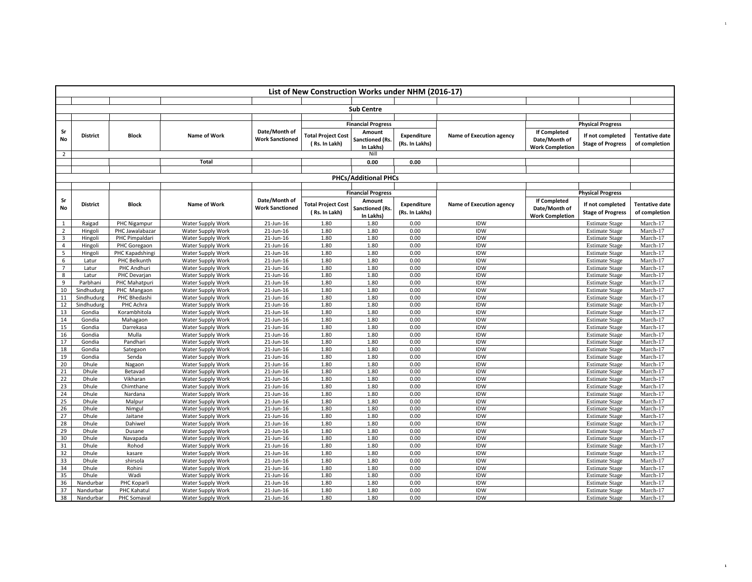|                | List of New Construction Works under NHM (2016-17) |                   |                                        |                        |                           |                           |                    |                          |                        |                                                |                       |
|----------------|----------------------------------------------------|-------------------|----------------------------------------|------------------------|---------------------------|---------------------------|--------------------|--------------------------|------------------------|------------------------------------------------|-----------------------|
|                |                                                    |                   |                                        |                        |                           |                           |                    |                          |                        |                                                |                       |
|                |                                                    |                   |                                        |                        |                           | <b>Sub Centre</b>         |                    |                          |                        |                                                |                       |
|                |                                                    |                   |                                        |                        |                           |                           |                    |                          |                        |                                                |                       |
|                |                                                    |                   |                                        |                        |                           | <b>Financial Progress</b> |                    |                          |                        | <b>Physical Progress</b>                       |                       |
| Sr             | <b>District</b>                                    | <b>Block</b>      | Name of Work                           | Date/Month of          | <b>Total Project Cost</b> | Amount                    | <b>Expenditure</b> | Name of Execution agency | If Completed           | If not completed                               | <b>Tentative date</b> |
| No             |                                                    |                   |                                        | <b>Work Sanctioned</b> | (Rs. In Lakh)             | <b>Sanctioned (Rs.</b>    | (Rs. In Lakhs)     |                          | Date/Month of          | <b>Stage of Progress</b>                       | of completion         |
|                |                                                    |                   |                                        |                        |                           | In Lakhs)                 |                    |                          | <b>Work Completion</b> |                                                |                       |
| $\overline{2}$ |                                                    |                   |                                        |                        |                           | Nill                      |                    |                          |                        |                                                |                       |
|                |                                                    |                   | Total                                  |                        |                           | 0.00                      | 0.00               |                          |                        |                                                |                       |
|                |                                                    |                   |                                        |                        |                           |                           |                    |                          |                        |                                                |                       |
|                | <b>PHCs/Additional PHCs</b>                        |                   |                                        |                        |                           |                           |                    |                          |                        |                                                |                       |
|                |                                                    |                   |                                        |                        |                           | <b>Financial Progress</b> |                    |                          |                        |                                                |                       |
| Sr             |                                                    |                   |                                        | Date/Month of          |                           | Amount                    |                    |                          | <b>If Completed</b>    | <b>Physical Progress</b>                       |                       |
| No             | <b>District</b>                                    | <b>Block</b>      | Name of Work                           | <b>Work Sanctioned</b> | <b>Total Project Cost</b> | <b>Sanctioned (Rs.</b>    | <b>Expenditure</b> | Name of Execution agency | Date/Month of          | If not completed                               | <b>Tentative date</b> |
|                |                                                    |                   |                                        |                        | (Rs. In Lakh)             | In Lakhs)                 | (Rs. In Lakhs)     |                          | <b>Work Completion</b> | <b>Stage of Progress</b>                       | of completion         |
| $\mathbf{1}$   | Raigad                                             | PHC Nigampur      | Water Supply Work                      | $21$ -Jun-16           | 1.80                      | 1.80                      | 0.00               | <b>IDW</b>               |                        | <b>Estimate Stage</b>                          | March-17              |
| $\overline{2}$ | Hingoli                                            | PHC Jawalabazar   | Water Supply Work                      | 21-Jun-16              | 1.80                      | 1.80                      | 0.00               | <b>IDW</b>               |                        | <b>Estimate Stage</b>                          | March-17              |
| 3              | Hingoli                                            | PHC Pimpaldari    | Water Supply Work                      | 21-Jun-16              | 1.80                      | 1.80                      | 0.00               | <b>IDW</b>               |                        | <b>Estimate Stage</b>                          | March-17              |
| $\overline{4}$ | Hingoli                                            | PHC Goregaon      | Water Supply Work                      | 21-Jun-16              | 1.80                      | 1.80                      | 0.00               | <b>IDW</b>               |                        | <b>Estimate Stage</b>                          | March-17              |
| 5              | Hingoli                                            | PHC Kapadshingi   | Water Supply Work                      | 21-Jun-16              | 1.80                      | 1.80                      | 0.00               | IDW                      |                        | <b>Estimate Stage</b>                          | March-17              |
| 6              | Latur                                              | PHC Belkunth      | Water Supply Work                      | 21-Jun-16              | 1.80                      | 1.80                      | 0.00               | <b>IDW</b>               |                        | <b>Estimate Stage</b>                          | March-17              |
| $\overline{7}$ | Latur                                              | PHC Andhuri       | Water Supply Work                      | 21-Jun-16              | 1.80                      | 1.80                      | 0.00               | <b>IDW</b>               |                        | <b>Estimate Stage</b>                          | March-17              |
| 8              | Latur                                              | PHC Devarjan      | Water Supply Work                      | 21-Jun-16              | 1.80                      | 1.80                      | 0.00               | <b>IDW</b>               |                        | <b>Estimate Stage</b>                          | March-17              |
| 9              | Parbhani                                           | PHC Mahatpuri     | Water Supply Work                      | 21-Jun-16              | 1.80                      | 1.80                      | 0.00               | <b>IDW</b>               |                        | <b>Estimate Stage</b>                          | March-17              |
| 10             | Sindhudurg                                         | PHC Mangaon       | Water Supply Work                      | 21-Jun-16              | 1.80                      | 1.80                      | 0.00               | <b>IDW</b>               |                        | <b>Estimate Stage</b>                          | March-17              |
| 11             | Sindhudurg                                         | PHC Bhedashi      | Water Supply Work                      | 21-Jun-16              | 1.80                      | 1.80                      | 0.00               | <b>IDW</b>               |                        | <b>Estimate Stage</b>                          | March-17              |
| 12             | Sindhudurg                                         | PHC Achra         | Water Supply Work                      | 21-Jun-16              | 1.80                      | 1.80                      | 0.00               | <b>IDW</b>               |                        | <b>Estimate Stage</b>                          | March-17              |
| 13             | Gondia                                             | Korambhitola      | Water Supply Work                      | 21-Jun-16              | 1.80                      | 1.80                      | 0.00               | <b>IDW</b>               |                        | <b>Estimate Stage</b>                          | March-17              |
| 14             | Gondia                                             | Mahagaon          | Water Supply Work                      | 21-Jun-16              | 1.80                      | 1.80                      | 0.00               | <b>IDW</b>               |                        | <b>Estimate Stage</b>                          | March-17              |
| 15             | Gondia                                             | Darrekasa         | Water Supply Work                      | 21-Jun-16              | 1.80                      | 1.80                      | 0.00               | <b>IDW</b>               |                        | <b>Estimate Stage</b>                          | March-17              |
| 16             | Gondia                                             | Mulla             | Water Supply Work                      | 21-Jun-16              | 1.80                      | 1.80                      | 0.00               | <b>IDW</b>               |                        | <b>Estimate Stage</b>                          | March-17              |
| 17             | Gondia                                             | Pandhari          | Water Supply Work                      | 21-Jun-16              | 1.80                      | 1.80                      | 0.00               | <b>IDW</b>               |                        | <b>Estimate Stage</b>                          | March-17              |
| 18             | Gondia                                             | Sategaon          | Water Supply Work                      | 21-Jun-16              | 1.80                      | 1.80                      | 0.00               | <b>IDW</b>               |                        | <b>Estimate Stage</b>                          | March-17              |
| 19             | Gondia                                             | Senda             | Water Supply Work                      | 21-Jun-16              | 1.80                      | 1.80                      | 0.00               | <b>IDW</b>               |                        | <b>Estimate Stage</b>                          | March-17              |
| 20<br>21       | Dhule<br>Dhule                                     | Nagaon<br>Betavad | Water Supply Work                      | 21-Jun-16<br>21-Jun-16 | 1.80<br>1.80              | 1.80<br>1.80              | 0.00<br>0.00       | <b>IDW</b><br>IDW        |                        | <b>Estimate Stage</b>                          | March-17<br>March-17  |
| 22             | Dhule                                              | Vikharan          | Water Supply Work<br>Water Supply Work | 21-Jun-16              | 1.80                      | 1.80                      | 0.00               | <b>IDW</b>               |                        | <b>Estimate Stage</b><br><b>Estimate Stage</b> | March-17              |
| 23             | Dhule                                              | Chimthane         | Water Supply Work                      | 21-Jun-16              | 1.80                      | 1.80                      | 0.00               | <b>IDW</b>               |                        | <b>Estimate Stage</b>                          | March-17              |
| 24             | Dhule                                              | Nardana           | Water Supply Work                      | 21-Jun-16              | 1.80                      | 1.80                      | 0.00               | IDW                      |                        | <b>Estimate Stage</b>                          | March-17              |
| 25             | Dhule                                              | Malpur            | Water Supply Work                      | 21-Jun-16              | 1.80                      | 1.80                      | 0.00               | IDW                      |                        | <b>Estimate Stage</b>                          | March-17              |
| 26             | Dhule                                              | Nimgul            | Water Supply Work                      | 21-Jun-16              | 1.80                      | 1.80                      | 0.00               | IDW                      |                        | <b>Estimate Stage</b>                          | March-17              |
| 27             | Dhule                                              | Jaitane           | Water Supply Work                      | 21-Jun-16              | 1.80                      | 1.80                      | 0.00               | IDW                      |                        | <b>Estimate Stage</b>                          | March-17              |
| 28             | Dhule                                              | Dahiwel           | Water Supply Work                      | 21-Jun-16              | 1.80                      | 1.80                      | 0.00               | IDW                      |                        | <b>Estimate Stage</b>                          | March-17              |
| 29             | Dhule                                              | Dusane            | Water Supply Work                      | 21-Jun-16              | 1.80                      | 1.80                      | 0.00               | IDW                      |                        | <b>Estimate Stage</b>                          | March-17              |
| 30             | Dhule                                              | Navapada          | Water Supply Work                      | 21-Jun-16              | 1.80                      | 1.80                      | 0.00               | IDW                      |                        | <b>Estimate Stage</b>                          | March-17              |
| 31             | Dhule                                              | Rohod             | Water Supply Work                      | 21-Jun-16              | 1.80                      | 1.80                      | 0.00               | IDW                      |                        | <b>Estimate Stage</b>                          | March-17              |
| 32             | Dhule                                              | kasare            | Water Supply Work                      | 21-Jun-16              | 1.80                      | 1.80                      | 0.00               | <b>IDW</b>               |                        | <b>Estimate Stage</b>                          | March-17              |
| 33             | Dhule                                              | shirsola          | Water Supply Work                      | 21-Jun-16              | 1.80                      | 1.80                      | 0.00               | IDW                      |                        | <b>Estimate Stage</b>                          | March-17              |
| 34             | Dhule                                              | Rohini            | Water Supply Work                      | 21-Jun-16              | 1.80                      | 1.80                      | 0.00               | <b>IDW</b>               |                        | <b>Estimate Stage</b>                          | March-17              |
| 35             | Dhule                                              | Wadi              | Water Supply Work                      | 21-Jun-16              | 1.80                      | 1.80                      | 0.00               | IDW                      |                        | <b>Estimate Stage</b>                          | March-17              |
| 36             | Nandurbar                                          | PHC Koparli       | Water Supply Work                      | 21-Jun-16              | 1.80                      | 1.80                      | 0.00               | <b>IDW</b>               |                        | <b>Estimate Stage</b>                          | March-17              |
| 37             | Nandurbar                                          | PHC Kahatul       | Water Supply Work                      | 21-Jun-16              | 1.80                      | 1.80                      | 0.00               | <b>IDW</b>               |                        | <b>Estimate Stage</b>                          | March-17              |
| 38             | Nandurbar                                          | PHC Somaval       | <b>Water Supply Work</b>               | 21-Jun-16              | 1.80                      | 1.80                      | 0.00               | IDW                      |                        | <b>Estimate Stage</b>                          | March-17              |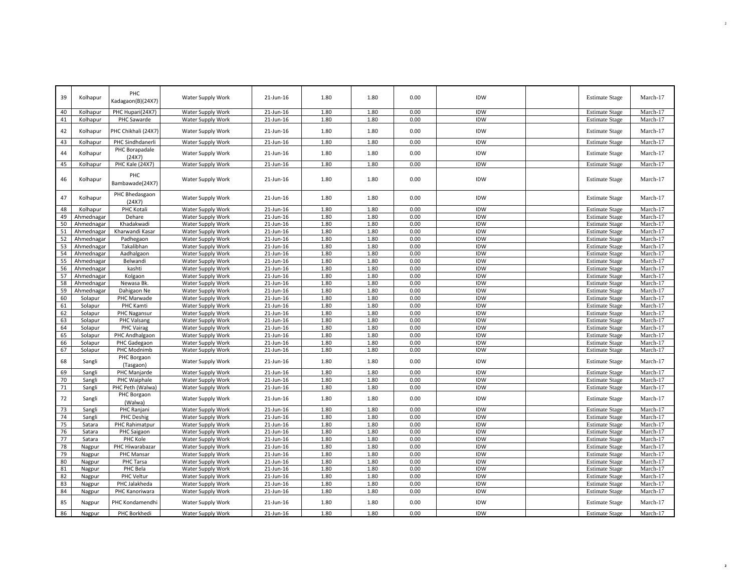| 39       | Kolhapur           | PHC<br>Kadagaon(B)(24X7)          | Water Supply Work                      | 21-Jun-16              | 1.80         | 1.80         | 0.00         | IDW               | <b>Estimate Stage</b>                          | March-17             |
|----------|--------------------|-----------------------------------|----------------------------------------|------------------------|--------------|--------------|--------------|-------------------|------------------------------------------------|----------------------|
| 40       | Kolhapur           | PHC Hupari(24X7)                  | Water Supply Work                      | 21-Jun-16              | 1.80         | 1.80         | 0.00         | IDW               | <b>Estimate Stage</b>                          | March-17             |
| 41       | Kolhapur           | PHC Sawarde                       | Water Supply Work                      | 21-Jun-16              | 1.80         | 1.80         | 0.00         | IDW               | <b>Estimate Stage</b>                          | March-17             |
| 42       | Kolhapur           | PHC Chikhali (24X7)               | Water Supply Work                      | 21-Jun-16              | 1.80         | 1.80         | 0.00         | <b>IDW</b>        | <b>Estimate Stage</b>                          | March-17             |
| 43       | Kolhapur           | PHC Sindhdanerli                  | Water Supply Work                      | 21-Jun-16              | 1.80         | 1.80         | 0.00         | IDW               | <b>Estimate Stage</b>                          | March-17             |
| 44       | Kolhapur           | PHC Borapadale                    | Water Supply Work                      | 21-Jun-16              | 1.80         | 1.80         | 0.00         | IDW               | <b>Estimate Stage</b>                          | March-17             |
|          |                    | (24X7)                            |                                        |                        |              |              |              |                   |                                                |                      |
| 45       | Kolhapur           | PHC Kale (24X7)                   | Water Supply Work                      | 21-Jun-16              | 1.80         | 1.80         | 0.00         | IDW               | <b>Estimate Stage</b>                          | March-17             |
| 46       | Kolhapur           | PHC<br>Bambawade(24X7)            | Water Supply Work                      | 21-Jun-16              | 1.80         | 1.80         | 0.00         | IDW               | <b>Estimate Stage</b>                          | March-17             |
| 47       | Kolhapur           | PHC Bhedasgaon<br>(24X7)          | Water Supply Work                      | 21-Jun-16              | 1.80         | 1.80         | 0.00         | IDW               | <b>Estimate Stage</b>                          | March-17             |
| 48       | Kolhapur           | PHC Kotali                        | Water Supply Work                      | 21-Jun-16              | 1.80         | 1.80         | 0.00         | <b>IDW</b>        | <b>Estimate Stage</b>                          | March-17             |
| 49       | Ahmednagar         | Dehare                            | Water Supply Work                      | 21-Jun-16              | 1.80         | 1.80         | 0.00         | <b>IDW</b>        | <b>Estimate Stage</b>                          | March-17             |
| 50       | Ahmednagar         | Khadakwadi                        | Water Supply Work                      | 21-Jun-16              | 1.80         | 1.80         | 0.00         | IDW               | <b>Estimate Stage</b>                          | March-17             |
| 51       | Ahmednagar         | Kharwandi Kasar                   | Water Supply Work                      | 21-Jun-16              | 1.80         | 1.80         | 0.00         | <b>IDW</b>        | <b>Estimate Stage</b>                          | March-17             |
| 52       | Ahmednagar         | Padhegaon                         | Water Supply Work                      | 21-Jun-16              | 1.80         | 1.80         | 0.00         | <b>IDW</b>        | <b>Estimate Stage</b>                          | March-17             |
| 53       | Ahmednagar         | Takalibhan                        | Water Supply Work                      | 21-Jun-16              | 1.80         | 1.80         | 0.00         | <b>IDW</b>        | <b>Estimate Stage</b>                          | March-17             |
| 54       | Ahmednagar         | Aadhalgaon                        | Water Supply Work                      | 21-Jun-16              | 1.80         | 1.80         | 0.00         | <b>IDW</b>        | <b>Estimate Stage</b>                          | March-17             |
| 55       | Ahmednagar         | Belwandi                          | Water Supply Work                      | 21-Jun-16              | 1.80         | 1.80         | 0.00         | <b>IDW</b>        | <b>Estimate Stage</b>                          | March-17             |
| 56       | Ahmednagar         | kashti                            | Water Supply Work                      | 21-Jun-16              | 1.80         | 1.80         | 0.00         | <b>IDW</b>        | <b>Estimate Stage</b>                          | March-17             |
| 57       | Ahmednagar         | Kolgaon                           | Water Supply Work                      | 21-Jun-16              | 1.80         | 1.80         | 0.00         | IDW               | <b>Estimate Stage</b>                          | March-17             |
| 58       | Ahmednagar         | Newasa Bk.                        | Water Supply Work                      | 21-Jun-16              | 1.80         | 1.80         | 0.00         | <b>IDW</b>        | <b>Estimate Stage</b>                          | March-17             |
| 59       | Ahmednagar         | Dahigaon Ne                       | Water Supply Work                      | 21-Jun-16              | 1.80         | 1.80         | 0.00         | <b>IDW</b>        | <b>Estimate Stage</b>                          | March-17             |
| 60       | Solapur            | PHC Marwade                       | Water Supply Work                      | 21-Jun-16              | 1.80         | 1.80         | 0.00         | <b>IDW</b>        | <b>Estimate Stage</b>                          | March-17             |
| 61<br>62 | Solapur            | PHC Kamti                         | Water Supply Work                      | 21-Jun-16<br>21-Jun-16 | 1.80<br>1.80 | 1.80<br>1.80 | 0.00<br>0.00 | IDW<br><b>IDW</b> | <b>Estimate Stage</b>                          | March-17<br>March-17 |
| 63       | Solapur<br>Solapur | PHC Nagansur<br>PHC Valsang       | Water Supply Work<br>Water Supply Work | 21-Jun-16              | 1.80         | 1.80         | 0.00         | <b>IDW</b>        | <b>Estimate Stage</b><br><b>Estimate Stage</b> | March-17             |
| 64       | Solapur            | PHC Vairag                        | Water Supply Work                      | 21-Jun-16              | 1.80         | 1.80         | 0.00         | IDW               | <b>Estimate Stage</b>                          | March-17             |
| 65       | Solapur            | PHC Andhalgaon                    | Water Supply Work                      | 21-Jun-16              | 1.80         | 1.80         | 0.00         | IDW               | <b>Estimate Stage</b>                          | March-17             |
| 66       | Solapur            | PHC Gadegaon                      | Water Supply Work                      | 21-Jun-16              | 1.80         | 1.80         | 0.00         | IDW               | <b>Estimate Stage</b>                          | March-17             |
| 67       | Solapur            | PHC Modnimb                       | Water Supply Work                      | 21-Jun-16              | 1.80         | 1.80         | 0.00         | <b>IDW</b>        | <b>Estimate Stage</b>                          | March-17             |
| 68       | Sangli             | PHC Borgaon<br>(Tasgaon)          | Water Supply Work                      | 21-Jun-16              | 1.80         | 1.80         | 0.00         | IDW               | <b>Estimate Stage</b>                          | March-17             |
| 69       | Sangli             | PHC Manjarde                      | Water Supply Work                      | 21-Jun-16              | 1.80         | 1.80         | 0.00         | <b>IDW</b>        | <b>Estimate Stage</b>                          | March-17             |
| 70       | Sangli             | PHC Waiphale                      | Water Supply Work                      | 21-Jun-16              | 1.80         | 1.80         | 0.00         | <b>IDW</b>        | <b>Estimate Stage</b>                          | March-17             |
| 71       | Sangli             | PHC Peth (Walwa)                  | Water Supply Work                      | 21-Jun-16              | 1.80         | 1.80         | 0.00         | <b>IDW</b>        | <b>Estimate Stage</b>                          | March-17             |
| 72       | Sangli             | PHC Borgaon<br>(Walwa)            | Water Supply Work                      | 21-Jun-16              | 1.80         | 1.80         | 0.00         | <b>IDW</b>        | <b>Estimate Stage</b>                          | March-17             |
| 73       | Sangli             | PHC Ranjani                       | Water Supply Work                      | 21-Jun-16              | 1.80         | 1.80         | 0.00         | IDW               | <b>Estimate Stage</b>                          | March-17             |
| 74       | Sangli             | PHC Deshig                        | Water Supply Work                      | 21-Jun-16              | 1.80         | 1.80         | 0.00         | <b>IDW</b>        | <b>Estimate Stage</b>                          | March-17             |
| 75       | Satara             | PHC Rahimatpur                    | Water Supply Work                      | 21-Jun-16              | 1.80         | 1.80         | 0.00         | <b>IDW</b>        | <b>Estimate Stage</b>                          | March-17             |
| 76       | Satara             | PHC Saigaon                       | Water Supply Work                      | 21-Jun-16              | 1.80         | 1.80         | 0.00         | <b>IDW</b>        | <b>Estimate Stage</b>                          | March-17             |
| 77       | Satara             | PHC Kole                          | Water Supply Work                      | 21-Jun-16              | 1.80         | 1.80         | 0.00         | IDW               | <b>Estimate Stage</b>                          | March-17             |
| 78       | Nagpur             | PHC Hiwarabazar                   | Water Supply Work                      | 21-Jun-16              | 1.80         | 1.80         | 0.00         | IDW               | <b>Estimate Stage</b>                          | March-17             |
| 79       | Nagpur             | PHC Mansar                        | Water Supply Work                      | 21-Jun-16              | 1.80         | 1.80         | 0.00         | <b>IDW</b>        | <b>Estimate Stage</b>                          | March-17             |
| 80       | Nagpur             | PHC Tarsa                         | Water Supply Work                      | 21-Jun-16              | 1.80         | 1.80         | 0.00         | IDW               | <b>Estimate Stage</b>                          | March-17             |
| 81       | Nagpur             | PHC Bela                          | Water Supply Work                      | 21-Jun-16              | 1.80         | 1.80         | 0.00         | <b>IDW</b>        | <b>Estimate Stage</b>                          | March-17             |
| 82       | Nagpur             | PHC Veltur                        | Water Supply Work                      | 21-Jun-16              | 1.80         | 1.80         | 0.00         | IDW               | <b>Estimate Stage</b>                          | March-17             |
| 83       | Nagpur             | PHC Jalakheda                     | Water Supply Work                      | 21-Jun-16              | 1.80         | 1.80         | 0.00         | <b>IDW</b>        | <b>Estimate Stage</b>                          | March-17             |
| 84<br>85 | Nagpur<br>Nagpur   | PHC Kanoriwara<br>PHC Kondamendhi | Water Supply Work<br>Water Supply Work | 21-Jun-16<br>21-Jun-16 | 1.80<br>1.80 | 1.80<br>1.80 | 0.00<br>0.00 | <b>IDW</b><br>IDW | <b>Estimate Stage</b><br><b>Estimate Stage</b> | March-17<br>March-17 |
|          |                    |                                   |                                        |                        |              |              |              |                   |                                                |                      |
| 86       | Nagpur             | PHC Borkhedi                      | Water Supply Work                      | 21-Jun-16              | 1.80         | 1.80         | 0.00         | <b>IDW</b>        | <b>Estimate Stage</b>                          | March-17             |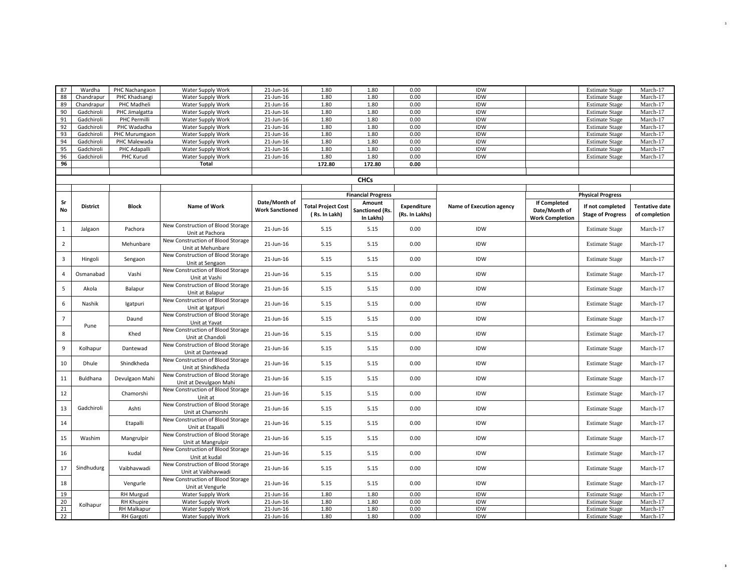| 87             | Wardha          | PHC Nachangaon     | Water Supply Work                 | 21-Jun-16              | 1.80                      | 1.80                      | 0.00               | IDW                      |                        | <b>Estimate Stage</b>    | March-17              |
|----------------|-----------------|--------------------|-----------------------------------|------------------------|---------------------------|---------------------------|--------------------|--------------------------|------------------------|--------------------------|-----------------------|
| 88             | Chandrapur      | PHC Khadsangi      | Water Supply Work                 | 21-Jun-16              | 1.80                      | 1.80                      | 0.00               | IDW                      |                        | <b>Estimate Stage</b>    | March-17              |
| 89             | Chandrapur      | PHC Madheli        | Water Supply Work                 | 21-Jun-16              | 1.80                      | 1.80                      | 0.00               | IDW                      |                        | <b>Estimate Stage</b>    | March-17              |
| 90             | Gadchiroli      | PHC Jimalgatta     | Water Supply Work                 | 21-Jun-16              | 1.80                      | 1.80                      | 0.00               | IDW                      |                        | <b>Estimate Stage</b>    | March-17              |
| 91             | Gadchiroli      | PHC Permilli       | Water Supply Work                 | 21-Jun-16              | 1.80                      | 1.80                      | 0.00               | IDW                      |                        | <b>Estimate Stage</b>    | March-17              |
| 92             | Gadchiroli      | PHC Wadadha        | Water Supply Work                 | 21-Jun-16              | 1.80                      | 1.80                      | 0.00               | <b>IDW</b>               |                        | <b>Estimate Stage</b>    | March-17              |
|                | Gadchiroli      |                    |                                   | 21-Jun-16              | 1.80                      | 1.80                      | 0.00               | IDW                      |                        | <b>Estimate Stage</b>    | March-17              |
| 93             |                 | PHC Murumgaon      | Water Supply Work                 |                        |                           |                           |                    |                          |                        |                          |                       |
| 94             | Gadchiroli      | PHC Malewada       | Water Supply Work                 | 21-Jun-16              | 1.80                      | 1.80                      | 0.00               | IDW                      |                        | <b>Estimate Stage</b>    | March-17              |
| 95             | Gadchiroli      | PHC Adapalli       | Water Supply Work                 | 21-Jun-16              | 1.80                      | 1.80                      | 0.00               | IDW                      |                        | <b>Estimate Stage</b>    | March-17              |
| 96             | Gadchiroli      | PHC Kurud          | Water Supply Work                 | 21-Jun-16              | 1.80                      | 1.80                      | 0.00               | IDW                      |                        | <b>Estimate Stage</b>    | March-17              |
| 96             |                 |                    | <b>Total</b>                      |                        | 172.80                    | 172.80                    | 0.00               |                          |                        |                          |                       |
|                |                 |                    |                                   |                        |                           |                           |                    |                          |                        |                          |                       |
|                |                 |                    |                                   |                        |                           | <b>CHCs</b>               |                    |                          |                        |                          |                       |
|                |                 |                    |                                   |                        |                           |                           |                    |                          |                        |                          |                       |
|                |                 |                    |                                   |                        |                           | <b>Financial Progress</b> |                    |                          |                        | <b>Physical Progress</b> |                       |
|                |                 |                    |                                   |                        |                           |                           |                    |                          |                        |                          |                       |
| Sr             | <b>District</b> | <b>Block</b>       | Name of Work                      | Date/Month of          | <b>Total Project Cost</b> | Amount                    | <b>Expenditure</b> | Name of Execution agency | <b>If Completed</b>    | If not completed         | <b>Tentative date</b> |
| <b>No</b>      |                 |                    |                                   | <b>Work Sanctioned</b> | (Rs. In Lakh)             | <b>Sanctioned (Rs.</b>    | (Rs. In Lakhs)     |                          | Date/Month of          | <b>Stage of Progress</b> | of completion         |
|                |                 |                    |                                   |                        |                           | In Lakhs)                 |                    |                          | <b>Work Completion</b> |                          |                       |
|                |                 |                    | New Construction of Blood Storage |                        |                           | 5.15                      | 0.00               | IDW                      |                        |                          | March-17              |
| $\mathbf{1}$   | Jalgaon         | Pachora            | Unit at Pachora                   | 21-Jun-16              | 5.15                      |                           |                    |                          |                        | <b>Estimate Stage</b>    |                       |
|                |                 |                    | New Construction of Blood Storage |                        |                           |                           |                    |                          |                        |                          |                       |
| $\overline{2}$ |                 | Mehunbare          | Unit at Mehunbare                 | 21-Jun-16              | 5.15                      | 5.15                      | 0.00               | IDW                      |                        | <b>Estimate Stage</b>    | March-17              |
|                |                 |                    | New Construction of Blood Storage |                        |                           |                           |                    |                          |                        |                          |                       |
| $\overline{3}$ | Hingoli         | Sengaon            | Unit at Sengaon                   | 21-Jun-16              | 5.15                      | 5.15                      | 0.00               | IDW                      |                        | <b>Estimate Stage</b>    | March-17              |
|                |                 |                    |                                   |                        |                           |                           |                    |                          |                        |                          |                       |
| $\overline{a}$ | Osmanabad       | Vashi              | New Construction of Blood Storage | 21-Jun-16              | 5.15                      | 5.15                      | 0.00               | IDW                      |                        | <b>Estimate Stage</b>    | March-17              |
|                |                 |                    | Unit at Vashi                     |                        |                           |                           |                    |                          |                        |                          |                       |
| 5              | Akola           | Balapur            | New Construction of Blood Storage | 21-Jun-16              | 5.15                      | 5.15                      | 0.00               | IDW                      |                        | <b>Estimate Stage</b>    | March-17              |
|                |                 |                    | Unit at Balapur                   |                        |                           |                           |                    |                          |                        |                          |                       |
|                |                 |                    | New Construction of Blood Storage |                        |                           |                           |                    |                          |                        |                          |                       |
| 6              | Nashik          | Igatpuri           | Unit at Igatpuri                  | 21-Jun-16              | 5.15                      | 5.15                      | 0.00               | IDW                      |                        | <b>Estimate Stage</b>    | March-17              |
|                |                 |                    | New Construction of Blood Storage |                        |                           |                           |                    |                          |                        |                          |                       |
| $\overline{7}$ |                 | Daund              | Unit at Yavat                     | 21-Jun-16              | 5.15                      | 5.15                      | 0.00               | IDW                      |                        | <b>Estimate Stage</b>    | March-17              |
|                | Pune            |                    | New Construction of Blood Storage |                        |                           |                           |                    |                          |                        |                          |                       |
| 8              |                 | Khed               |                                   | 21-Jun-16              | 5.15                      | 5.15                      | 0.00               | IDW                      |                        | <b>Estimate Stage</b>    | March-17              |
|                |                 |                    | Unit at Chandoli                  |                        |                           |                           |                    |                          |                        |                          |                       |
| 9              | Kolhapur        | Dantewad           | New Construction of Blood Storage | 21-Jun-16              | 5.15                      | 5.15                      | 0.00               | IDW                      |                        | <b>Estimate Stage</b>    | March-17              |
|                |                 |                    | Unit at Dantewad                  |                        |                           |                           |                    |                          |                        |                          |                       |
| 10             | Dhule           | Shindkheda         | New Construction of Blood Storage | 21-Jun-16              | 5.15                      | 5.15                      | 0.00               | IDW                      |                        | <b>Estimate Stage</b>    | March-17              |
|                |                 |                    | Unit at Shindkheda                |                        |                           |                           |                    |                          |                        |                          |                       |
|                |                 |                    | New Construction of Blood Storage |                        |                           |                           |                    |                          |                        |                          |                       |
| 11             | Buldhana        | Devulgaon Mahi     | Unit at Devulgaon Mahi            | 21-Jun-16              | 5.15                      | 5.15                      | 0.00               | IDW                      |                        | <b>Estimate Stage</b>    | March-17              |
|                |                 |                    | New Construction of Blood Storage |                        |                           |                           |                    |                          |                        |                          |                       |
| 12             |                 | Chamorshi          | Unit at                           | 21-Jun-16              | 5.15                      | 5.15                      | 0.00               | IDW                      |                        | <b>Estimate Stage</b>    | March-17              |
|                |                 |                    | New Construction of Blood Storage |                        |                           |                           |                    |                          |                        |                          |                       |
| 13             | Gadchiroli      | Ashti              | Unit at Chamorshi                 | 21-Jun-16              | 5.15                      | 5.15                      | 0.00               | IDW                      |                        | <b>Estimate Stage</b>    | March-17              |
|                |                 |                    |                                   |                        |                           |                           |                    |                          |                        |                          |                       |
| 14             |                 | Etapalli           | New Construction of Blood Storage | 21-Jun-16              | 5.15                      | 5.15                      | 0.00               | IDW                      |                        | <b>Estimate Stage</b>    | March-17              |
|                |                 |                    | Unit at Etapalli                  |                        |                           |                           |                    |                          |                        |                          |                       |
| 15             | Washim          | Mangrulpir         | New Construction of Blood Storage | 21-Jun-16              | 5.15                      | 5.15                      | 0.00               | IDW                      |                        | <b>Estimate Stage</b>    | March-17              |
|                |                 |                    | Unit at Mangrulpir                |                        |                           |                           |                    |                          |                        |                          |                       |
|                |                 |                    | New Construction of Blood Storage |                        |                           |                           |                    |                          |                        |                          |                       |
| 16             |                 | kudal              | Unit at kudal                     | 21-Jun-16              | 5.15                      | 5.15                      | 0.00               | IDW                      |                        | <b>Estimate Stage</b>    | March-17              |
|                |                 |                    | New Construction of Blood Storage |                        |                           |                           |                    |                          |                        |                          |                       |
| 17             | Sindhudurg      | Vaibhavwadi        | Unit at Vaibhavwadi               | 21-Jun-16              | 5.15                      | 5.15                      | 0.00               | IDW                      |                        | <b>Estimate Stage</b>    | March-17              |
|                |                 |                    |                                   |                        |                           |                           |                    |                          |                        |                          |                       |
| 18             |                 | Vengurle           | New Construction of Blood Storage | 21-Jun-16              | 5.15                      | 5.15                      | 0.00               | IDW                      |                        | <b>Estimate Stage</b>    | March-17              |
|                |                 |                    | Unit at Vengurle                  |                        |                           |                           |                    |                          |                        |                          |                       |
| 19             |                 | RH Murgud          | Water Supply Work                 | 21-Jun-16              | 1.80                      | 1.80                      | 0.00               | IDW                      |                        | <b>Estimate Stage</b>    | March-17              |
| 20             | Kolhapur        | <b>RH Khupire</b>  | Water Supply Work                 | 21-Jun-16              | 1.80                      | 1.80                      | 0.00               | IDW                      |                        | <b>Estimate Stage</b>    | March-17              |
| 21             |                 | <b>RH Malkapur</b> | Water Supply Work                 | 21-Jun-16              | 1.80                      | 1.80                      | 0.00               | IDW                      |                        | <b>Estimate Stage</b>    | March-17              |
| 22             |                 | <b>RH Gargoti</b>  | Water Supply Work                 | 21-Jun-16              | 1.80                      | 1.80                      | 0.00               | <b>IDW</b>               |                        | <b>Estimate Stage</b>    | March-17              |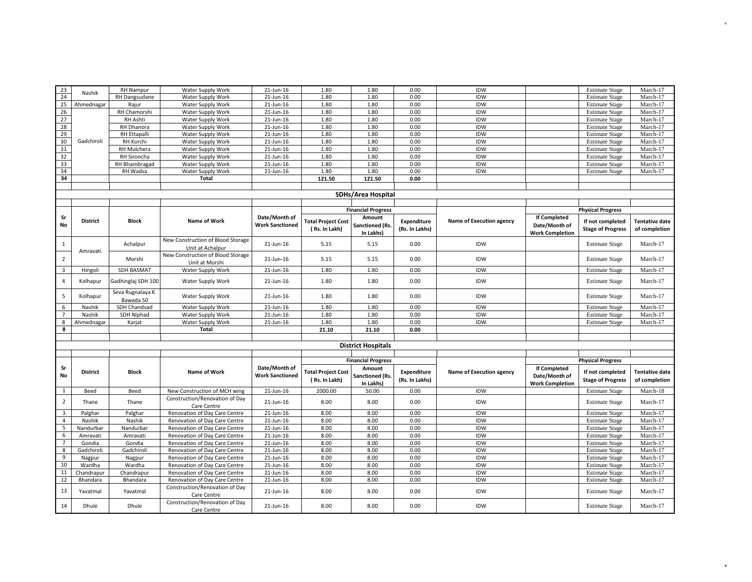| 23                        | Nashik          | <b>RH Nampur</b>    | Water Supply Work                 | 21-Jun-16              | 1.80                      | 1.80                      | 0.00               | IDW                      |                        | <b>Estimate Stage</b>    | March-17              |
|---------------------------|-----------------|---------------------|-----------------------------------|------------------------|---------------------------|---------------------------|--------------------|--------------------------|------------------------|--------------------------|-----------------------|
| 24                        |                 | RH Dangsudane       | Water Supply Work                 | 21-Jun-16              | 1.80                      | 1.80                      | 0.00               | IDW                      |                        | <b>Estimate Stage</b>    | March-17              |
| 25                        | Ahmednagar      | Rajur               | Water Supply Work                 | 21-Jun-16              | 1.80                      | 1.80                      | 0.00               | <b>IDW</b>               |                        | <b>Estimate Stage</b>    | March-17              |
| 26                        |                 | RH Chamorshi        | Water Supply Work                 | 21-Jun-16              | 1.80                      | 1.80                      | 0.00               | IDW                      |                        | <b>Estimate Stage</b>    | March-17              |
| 27                        |                 | RH Ashti            | Water Supply Work                 | 21-Jun-16              | 1.80                      | 1.80                      | 0.00               | IDW                      |                        | <b>Estimate Stage</b>    | March-17              |
| 28                        |                 | RH Dhanora          | Water Supply Work                 | 21-Jun-16              | 1.80                      | 1.80                      | 0.00               | IDW                      |                        | <b>Estimate Stage</b>    | March-17              |
| 29                        |                 | <b>RH Ettapalli</b> | Water Supply Work                 | 21-Jun-16              | 1.80                      | 1.80                      | 0.00               | IDW                      |                        | <b>Estimate Stage</b>    | March-17              |
| 30                        | Gadchiroli      | RH Korchi           | Water Supply Work                 | 21-Jun-16              | 1.80                      | 1.80                      | 0.00               | IDW                      |                        | <b>Estimate Stage</b>    | March-17              |
| 31                        |                 | RH Mulchera         | Water Supply Work                 | 21-Jun-16              | 1.80                      | 1.80                      | 0.00               | IDW                      |                        | <b>Estimate Stage</b>    | March-17              |
| 32                        |                 | RH Sironcha         | Water Supply Work                 | 21-Jun-16              | 1.80                      | 1.80                      | 0.00               | IDW                      |                        | <b>Estimate Stage</b>    | March-17              |
| 33                        |                 | RH Bhambragad       | Water Supply Work                 | 21-Jun-16              | 1.80                      | 1.80                      | 0.00               | IDW                      |                        | <b>Estimate Stage</b>    | March-17              |
| 34                        |                 | RH Wadsa            | Water Supply Work                 | 21-Jun-16              | 1.80                      | 1.80                      | 0.00               | IDW                      |                        | <b>Estimate Stage</b>    | March-17              |
| 34                        |                 |                     | <b>Total</b>                      |                        | 121.50                    | 121.50                    | 0.00               |                          |                        |                          |                       |
|                           |                 |                     |                                   |                        |                           |                           |                    |                          |                        |                          |                       |
| <b>SDHs/Area Hospital</b> |                 |                     |                                   |                        |                           |                           |                    |                          |                        |                          |                       |
|                           |                 |                     |                                   |                        |                           |                           |                    |                          |                        |                          |                       |
|                           |                 |                     |                                   |                        |                           | <b>Financial Progress</b> |                    |                          |                        | <b>Physical Progress</b> |                       |
| Sr                        |                 |                     |                                   | Date/Month of          |                           | Amount                    |                    |                          | If Completed           |                          |                       |
| <b>No</b>                 | <b>District</b> | <b>Block</b>        | <b>Name of Work</b>               | <b>Work Sanctioned</b> | <b>Total Project Cost</b> | Sanctioned (Rs.           | <b>Expenditure</b> | Name of Execution agency | Date/Month of          | If not completed         | <b>Tentative date</b> |
|                           |                 |                     |                                   |                        | (Rs. In Lakh)             | In Lakhs)                 | (Rs. In Lakhs)     |                          | <b>Work Completion</b> | <b>Stage of Progress</b> | of completion         |
|                           |                 |                     | New Construction of Blood Storage |                        |                           |                           |                    |                          |                        |                          |                       |
| $\mathbf{1}$              |                 | Achalpur            | Unit at Achalpur                  | 21-Jun-16              | 5.15                      | 5.15                      | 0.00               | IDW                      |                        | <b>Estimate Stage</b>    | March-17              |
|                           | Amravati        |                     | New Construction of Blood Storage |                        |                           |                           |                    |                          |                        |                          |                       |
| $\overline{2}$            |                 | Morshi              |                                   | 21-Jun-16              | 5.15                      | 5.15                      | 0.00               | IDW                      |                        | <b>Estimate Stage</b>    | March-17              |
| $\overline{\mathbf{3}}$   |                 |                     | Unit at Morshi                    |                        |                           |                           |                    | IDW                      |                        |                          |                       |
|                           | Hingoli         | SDH BASMAT          | Water Supply Work                 | 21-Jun-16              | 1.80                      | 1.80                      | 0.00               |                          |                        | <b>Estimate Stage</b>    | March-17              |
| $\overline{4}$            | Kolhapur        | Gadhinglaj SDH 100  | Water Supply Work                 | 21-Jun-16              | 1.80                      | 1.80                      | 0.00               | IDW                      |                        | <b>Estimate Stage</b>    | March-17              |
|                           |                 |                     |                                   |                        |                           |                           |                    |                          |                        |                          |                       |
| $\overline{5}$            | Kolhapur        | Seva Rugnalaya K.   | Water Supply Work                 | 21-Jun-16              | 1.80                      | 1.80                      | 0.00               | IDW                      |                        | <b>Estimate Stage</b>    | March-17              |
|                           |                 | Bawada 50           |                                   |                        |                           |                           |                    |                          |                        |                          |                       |
| 6<br>$\overline{7}$       | Nashik          | SDH Chandvad        | Water Supply Work                 | 21-Jun-16              | 1.80                      | 1.80                      | 0.00               | <b>IDW</b>               |                        | <b>Estimate Stage</b>    | March-17              |
|                           | Nashik          | SDH Niphad          | Water Supply Work                 | 21-Jun-16              | 1.80                      | 1.80                      | 0.00               | IDW                      |                        | <b>Estimate Stage</b>    | March-17              |
| 8<br>8                    | Ahmednagar      | Karjat              | Water Supply Work<br>Total        | 21-Jun-16              | 1.80                      | 1.80                      | 0.00               | IDW                      |                        | <b>Estimate Stage</b>    | March-17              |
|                           |                 |                     |                                   |                        | 21.10                     | 21.10                     | 0.00               |                          |                        |                          |                       |
|                           |                 |                     |                                   |                        |                           |                           |                    |                          |                        |                          |                       |
|                           |                 |                     |                                   |                        |                           | <b>District Hospitals</b> |                    |                          |                        |                          |                       |
|                           |                 |                     |                                   |                        |                           |                           |                    |                          |                        |                          |                       |
|                           |                 |                     |                                   |                        |                           | <b>Financial Progress</b> |                    |                          |                        | <b>Physical Progress</b> |                       |
| Sr                        | <b>District</b> | <b>Block</b>        | <b>Name of Work</b>               | Date/Month of          | <b>Total Project Cost</b> | Amount                    | <b>Expenditure</b> | Name of Execution agency | <b>If Completed</b>    | If not completed         | <b>Tentative date</b> |
| No                        |                 |                     |                                   | <b>Work Sanctioned</b> | (Rs. In Lakh)             | Sanctioned (Rs.           | (Rs. In Lakhs)     |                          | Date/Month of          | <b>Stage of Progress</b> | of completion         |
|                           |                 |                     |                                   |                        |                           | In Lakhs)                 |                    |                          | <b>Work Completion</b> |                          |                       |
| $\mathbf{1}$              | Beed            | Beed                | New Construction of MCH wing      | 21-Jun-16              | 2000.00                   | 50.00                     | 0.00               | IDW                      |                        | <b>Estimate Stage</b>    | March-18              |
| $\overline{2}$            | Thane           | Thane               | Construction/Renovation of Day    | 21-Jun-16              | 8.00                      | 8.00                      | 0.00               | IDW                      |                        | <b>Estimate Stage</b>    | March-17              |
|                           |                 |                     | Care Centre                       |                        |                           |                           |                    |                          |                        |                          |                       |
| $\overline{\mathbf{3}}$   | Palghar         | Palghar             | Renovation of Day Care Centre     | 21-Jun-16              | 8.00                      | 8.00                      | 0.00               | IDW                      |                        | <b>Estimate Stage</b>    | March-17              |
| $\overline{4}$            | Nashik          | Nashik              | Renovation of Day Care Centre     | 21-Jun-16              | 8.00                      | 8.00                      | 0.00               | IDW                      |                        | <b>Estimate Stage</b>    | March-17              |
| 5                         | Nandurbar       | Nandurbar           | Renovation of Day Care Centre     | 21-Jun-16              | 8.00                      | 8.00                      | 0.00               | <b>IDW</b>               |                        | <b>Estimate Stage</b>    | March-17              |
| 6                         | Amravati        | Amravati            | Renovation of Day Care Centre     | 21-Jun-16              | 8.00                      | 8.00                      | 0.00               | IDW                      |                        | <b>Estimate Stage</b>    | March-17              |
| $\overline{7}$            | Gondia          | Gondia              | Renovation of Day Care Centre     | 21-Jun-16              | 8.00                      | 8.00                      | 0.00               | IDW                      |                        | <b>Estimate Stage</b>    | March-17              |
| 8                         | Gadchiroli      | Gadchiroli          | Renovation of Day Care Centre     | 21-Jun-16              | 8.00                      | 8.00                      | 0.00               | IDW                      |                        | <b>Estimate Stage</b>    | March-17              |
| 9                         | Nagpur          | Nagpur              | Renovation of Day Care Centre     | 21-Jun-16              | 8.00                      | 8.00                      | 0.00               | IDW                      |                        | <b>Estimate Stage</b>    | March-17              |
| 10                        | Wardha          | Wardha              | Renovation of Day Care Centre     | 21-Jun-16              | 8.00                      | 8.00                      | 0.00               | IDW                      |                        | <b>Estimate Stage</b>    | March-17              |
| 11                        | Chandrapur      | Chandrapur          | Renovation of Day Care Centre     | 21-Jun-16              | 8.00                      | 8.00                      | 0.00               | IDW                      |                        | <b>Estimate Stage</b>    | March-17              |
| 12                        | Bhandara        | Bhandara            | Renovation of Day Care Centre     | 21-Jun-16              | 8.00                      | 8.00                      | 0.00               | IDW                      |                        | <b>Estimate Stage</b>    | March-17              |
| 13                        | Yavatmal        | Yavatmal            | Construction/Renovation of Day    | 21-Jun-16              | 8.00                      | 8.00                      | 0.00               | IDW                      |                        | <b>Estimate Stage</b>    | March-17              |
|                           |                 |                     | Care Centre                       |                        |                           |                           |                    |                          |                        |                          |                       |
| 14                        | Dhule           | Dhule               | Construction/Renovation of Day    | 21-Jun-16              | 8.00                      | 8.00                      | 0.00               | <b>IDW</b>               |                        | <b>Estimate Stage</b>    | March-17              |
|                           |                 |                     | Care Centre                       |                        |                           |                           |                    |                          |                        |                          |                       |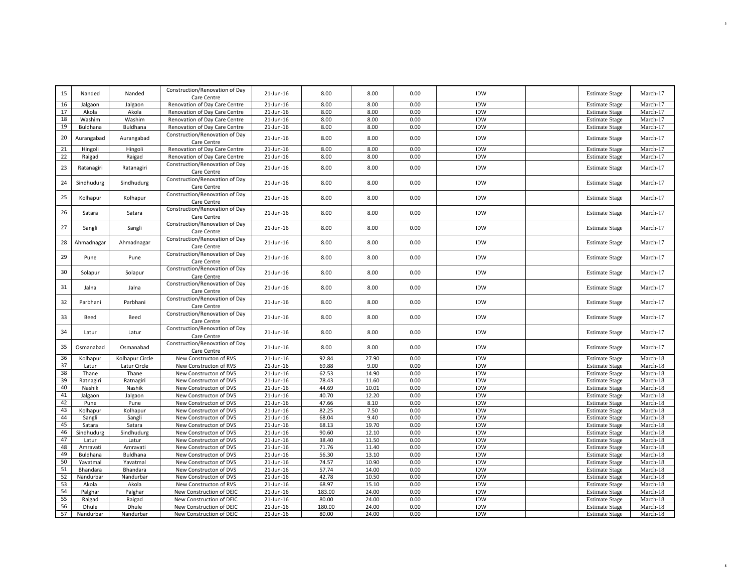| 15       | Nanded                | Nanded               | Construction/Renovation of Day<br>Care Centre    | 21-Jun-16              | 8.00           | 8.00           | 0.00         | IDW        | <b>Estimate Stage</b>                          | March-17             |
|----------|-----------------------|----------------------|--------------------------------------------------|------------------------|----------------|----------------|--------------|------------|------------------------------------------------|----------------------|
| 16       | Jalgaon               | Jalgaon              | Renovation of Day Care Centre                    | 21-Jun-16              | 8.00           | 8.00           | 0.00         | <b>IDW</b> | <b>Estimate Stage</b>                          | March-17             |
| 17       | Akola                 | Akola                | Renovation of Day Care Centre                    | 21-Jun-16              | 8.00           | 8.00           | 0.00         | IDW        | <b>Estimate Stage</b>                          | March-17             |
| 18       | Washim                | Washim               | Renovation of Day Care Centre                    | 21-Jun-16              | 8.00           | 8.00           | 0.00         | <b>IDW</b> | <b>Estimate Stage</b>                          | March-17             |
| 19       | Buldhana              | Buldhana             | Renovation of Day Care Centre                    | 21-Jun-16              | 8.00           | 8.00           | 0.00         | <b>IDW</b> | <b>Estimate Stage</b>                          | March-17             |
| 20       | Aurangabad            | Aurangabad           | Construction/Renovation of Day<br>Care Centre    | 21-Jun-16              | 8.00           | 8.00           | 0.00         | IDW        | <b>Estimate Stage</b>                          | March-17             |
| 21       | Hingoli               | Hingoli              | Renovation of Day Care Centre                    | 21-Jun-16              | 8.00           | 8.00           | 0.00         | IDW        | <b>Estimate Stage</b>                          | March-17             |
| 22       | Raigad                | Raigad               | Renovation of Day Care Centre                    | 21-Jun-16              | 8.00           | 8.00           | 0.00         | <b>IDW</b> | <b>Estimate Stage</b>                          | March-17             |
| 23       | Ratanagiri            | Ratanagiri           | Construction/Renovation of Day<br>Care Centre    | 21-Jun-16              | 8.00           | 8.00           | 0.00         | IDW        | <b>Estimate Stage</b>                          | March-17             |
| 24       | Sindhudurg            | Sindhudurg           | Construction/Renovation of Day<br>Care Centre    | 21-Jun-16              | 8.00           | 8.00           | 0.00         | <b>IDW</b> | <b>Estimate Stage</b>                          | March-17             |
| 25       | Kolhapur              | Kolhapur             | Construction/Renovation of Day<br>Care Centre    | 21-Jun-16              | 8.00           | 8.00           | 0.00         | IDW        | <b>Estimate Stage</b>                          | March-17             |
| 26       | Satara                | Satara               | Construction/Renovation of Day<br>Care Centre    | 21-Jun-16              | 8.00           | 8.00           | 0.00         | IDW        | <b>Estimate Stage</b>                          | March-17             |
| 27       | Sangli                | Sangli               | Construction/Renovation of Day<br>Care Centre    | 21-Jun-16              | 8.00           | 8.00           | 0.00         | IDW        | <b>Estimate Stage</b>                          | March-17             |
| 28       | Ahmadnagar            | Ahmadnagar           | Construction/Renovation of Day<br>Care Centre    | 21-Jun-16              | 8.00           | 8.00           | 0.00         | IDW        | <b>Estimate Stage</b>                          | March-17             |
| 29       | Pune                  | Pune                 | Construction/Renovation of Day<br>Care Centre    | 21-Jun-16              | 8.00           | 8.00           | 0.00         | IDW        | <b>Estimate Stage</b>                          | March-17             |
| 30       | Solapur               | Solapur              | Construction/Renovation of Day<br>Care Centre    | 21-Jun-16              | 8.00           | 8.00           | 0.00         | IDW        | <b>Estimate Stage</b>                          | March-17             |
| 31       | Jalna                 | Jalna                | Construction/Renovation of Day<br>Care Centre    | 21-Jun-16              | 8.00           | 8.00           | 0.00         | IDW        | <b>Estimate Stage</b>                          | March-17             |
| 32       | Parbhani              | Parbhani             | Construction/Renovation of Day<br>Care Centre    | 21-Jun-16              | 8.00           | 8.00           | 0.00         | IDW        | <b>Estimate Stage</b>                          | March-17             |
| 33       | Beed                  | Beed                 | Construction/Renovation of Day<br>Care Centre    | 21-Jun-16              | 8.00           | 8.00           | 0.00         | IDW        | <b>Estimate Stage</b>                          | March-17             |
| 34       | Latur                 | Latur                | Construction/Renovation of Day<br>Care Centre    | 21-Jun-16              | 8.00           | 8.00           | 0.00         | IDW        | <b>Estimate Stage</b>                          | March-17             |
| 35       | Osmanabad             | Osmanabad            | Construction/Renovation of Day<br>Care Centre    | 21-Jun-16              | 8.00           | 8.00           | 0.00         | IDW        | <b>Estimate Stage</b>                          | March-17             |
| 36       | Kolhapur              | Kolhapur Circle      | New Constructon of RVS                           | 21-Jun-16              | 92.84          | 27.90          | 0.00         | IDW        | <b>Estimate Stage</b>                          | March-18             |
| 37       | Latur                 | Latur Circle         | New Constructon of RVS                           | 21-Jun-16              | 69.88          | 9.00           | 0.00         | IDW        | <b>Estimate Stage</b>                          | March-18             |
| 38       | Thane                 | Thane                | New Constructon of DVS                           | 21-Jun-16              | 62.53          | 14.90          | 0.00         | IDW        | <b>Estimate Stage</b>                          | March-18             |
| 39       | Ratnagiri             | Ratnagiri            | New Constructon of DVS                           | 21-Jun-16              | 78.43          | 11.60          | 0.00         | IDW        | <b>Estimate Stage</b>                          | March-18             |
| 40       | Nashik                | Nashik               | New Constructon of DVS                           | 21-Jun-16              | 44.69          | 10.01          | 0.00         | <b>IDW</b> | <b>Estimate Stage</b>                          | March-18             |
| 41       | Jalgaon               | Jalgaon              | New Constructon of DVS                           | 21-Jun-16              | 40.70          | 12.20          | 0.00         | IDW        | <b>Estimate Stage</b>                          | March-18             |
| 42       | Pune                  | Pune                 | New Constructon of DVS                           | 21-Jun-16              | 47.66          | 8.10           | 0.00         | IDW        | <b>Estimate Stage</b>                          | March-18             |
| 43       | Kolhapur              | Kolhapur             | New Constructon of DVS                           | 21-Jun-16              | 82.25          | 7.50           | 0.00         | <b>IDW</b> | <b>Estimate Stage</b>                          | March-18             |
| 44       | Sangli                | Sangli               | New Constructon of DVS                           | 21-Jun-16              | 68.04          | 9.40           | 0.00         | IDW        | <b>Estimate Stage</b>                          | March-18             |
| 45       | Satara                | Satara               | New Constructon of DVS                           | 21-Jun-16              | 68.13          | 19.70          | 0.00         | <b>IDW</b> | <b>Estimate Stage</b>                          | March-18             |
| 46       | Sindhudurg            | Sindhudurg           | New Constructon of DVS                           | 21-Jun-16              | 90.60          | 12.10          | 0.00         | <b>IDW</b> | <b>Estimate Stage</b>                          | March-18             |
| 47<br>48 | Latur                 | Latur                | New Constructon of DVS                           | 21-Jun-16              | 38.40          | 11.50          | 0.00         | IDW        | <b>Estimate Stage</b>                          | March-18             |
|          | Amravati              | Amravati             | New Constructon of DVS                           | 21-Jun-16              | 71.76          | 11.40          | 0.00         | <b>IDW</b> | <b>Estimate Stage</b>                          | March-18             |
| 49<br>50 | Buldhana<br>Yavatmal  | Buldhana<br>Yavatmal | New Constructon of DVS<br>New Constructon of DVS | 21-Jun-16<br>21-Jun-16 | 56.30<br>74.57 | 13.10<br>10.90 | 0.00<br>0.00 | IDW<br>IDW | <b>Estimate Stage</b>                          | March-18<br>March-18 |
| 51       |                       | Bhandara             | New Constructon of DVS                           | 21-Jun-16              | 57.74          | 14.00          | 0.00         | IDW        | <b>Estimate Stage</b><br><b>Estimate Stage</b> | March-18             |
| 52       | Bhandara<br>Nandurbar | Nandurbar            | New Constructon of DVS                           | 21-Jun-16              | 42.78          | 10.50          | 0.00         | <b>IDW</b> | <b>Estimate Stage</b>                          | March-18             |
| 53       | Akola                 | Akola                | New Constructon of RVS                           | 21-Jun-16              | 68.97          | 15.10          | 0.00         | <b>IDW</b> | <b>Estimate Stage</b>                          | March-18             |
| 54       | Palghar               | Palghar              | New Construction of DEIC                         | 21-Jun-16              | 183.00         | 24.00          | 0.00         | IDW        | <b>Estimate Stage</b>                          | March-18             |
| 55       | Raigad                | Raigad               | New Construction of DEIC                         | 21-Jun-16              | 80.00          | 24.00          | 0.00         | <b>IDW</b> | <b>Estimate Stage</b>                          | March-18             |
| 56       | Dhule                 | Dhule                | New Construction of DEIC                         | 21-Jun-16              | 180.00         | 24.00          | 0.00         | <b>IDW</b> | <b>Estimate Stage</b>                          | March-18             |
| 57       | Nandurbar             | Nandurbar            | New Construction of DEIC                         | 21-Jun-16              | 80.00          | 24.00          | 0.00         | <b>IDW</b> | <b>Estimate Stage</b>                          | March-18             |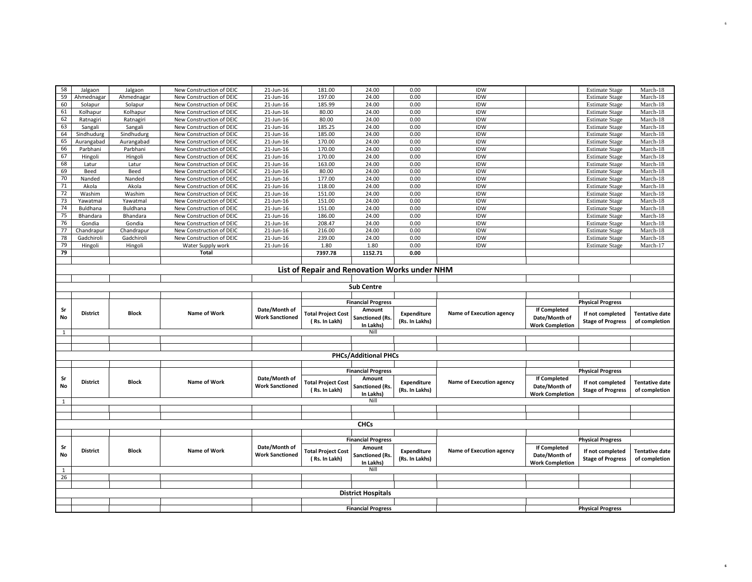| 58                | Jalgaon                                       | Jalgaon      | New Construction of DEIC | 21-Jun-16              | 181.00                    | 24.00                       | 0.00           | IDW                      |                        | <b>Estimate Stage</b>    | March-18              |  |  |
|-------------------|-----------------------------------------------|--------------|--------------------------|------------------------|---------------------------|-----------------------------|----------------|--------------------------|------------------------|--------------------------|-----------------------|--|--|
| 59                | Ahmednagar                                    | Ahmednagar   | New Construction of DEIC | 21-Jun-16              | 197.00                    | 24.00                       | 0.00           | <b>IDW</b>               |                        | <b>Estimate Stage</b>    | March-18              |  |  |
| 60                | Solapur                                       | Solapur      | New Construction of DEIC | 21-Jun-16              | 185.99                    | 24.00                       | 0.00           | IDW                      |                        | <b>Estimate Stage</b>    | March-18              |  |  |
| 61                | Kolhapur                                      | Kolhapur     | New Construction of DEIC | 21-Jun-16              | 80.00                     | 24.00                       | 0.00           | IDW                      |                        | <b>Estimate Stage</b>    | March-18              |  |  |
| 62                | Ratnagiri                                     | Ratnagiri    | New Construction of DEIC | 21-Jun-16              | 80.00                     | 24.00                       | 0.00           | IDW                      |                        | <b>Estimate Stage</b>    | March-18              |  |  |
| 63                | Sangali                                       | Sangali      | New Construction of DEIC | 21-Jun-16              | 185.25                    | 24.00                       | 0.00           | IDW                      |                        | <b>Estimate Stage</b>    | March-18              |  |  |
| 64                | Sindhudurg                                    | Sindhudurg   | New Construction of DEIC | 21-Jun-16              | 185.00                    | 24.00                       | 0.00           | IDW                      |                        | <b>Estimate Stage</b>    | March-18              |  |  |
| 65                | Aurangabad                                    | Aurangabad   | New Construction of DEIC | 21-Jun-16              | 170.00                    | 24.00                       | 0.00           | IDW                      |                        | <b>Estimate Stage</b>    | March-18              |  |  |
| 66                | Parbhani                                      | Parbhani     | New Construction of DEIC | 21-Jun-16              | 170.00                    | 24.00                       | 0.00           | IDW                      |                        | <b>Estimate Stage</b>    | March-18              |  |  |
| 67                |                                               |              | New Construction of DEIC | 21-Jun-16              | 170.00                    | 24.00                       | 0.00           | IDW                      |                        | <b>Estimate Stage</b>    | March-18              |  |  |
| 68                | Hingoli                                       | Hingoli      |                          |                        |                           |                             |                | IDW                      |                        |                          |                       |  |  |
|                   | Latur                                         | Latur        | New Construction of DEIC | 21-Jun-16              | 163.00                    | 24.00                       | 0.00           |                          |                        | <b>Estimate Stage</b>    | March-18              |  |  |
| 69                | Beed                                          | Beed         | New Construction of DEIC | 21-Jun-16              | 80.00                     | 24.00                       | 0.00           | IDW                      |                        | <b>Estimate Stage</b>    | March-18              |  |  |
| 70                | Nanded                                        | Nanded       | New Construction of DEIC | 21-Jun-16              | 177.00                    | 24.00                       | 0.00           | <b>IDW</b>               |                        | <b>Estimate Stage</b>    | March-18              |  |  |
| $71\,$            | Akola                                         | Akola        | New Construction of DEIC | 21-Jun-16              | 118.00                    | 24.00                       | 0.00           | <b>IDW</b>               |                        | <b>Estimate Stage</b>    | March-18              |  |  |
| 72                | Washim                                        | Washim       | New Construction of DEIC | 21-Jun-16              | 151.00                    | 24.00                       | 0.00           | IDW                      |                        | <b>Estimate Stage</b>    | March-18              |  |  |
| 73                | Yawatmal                                      | Yawatmal     | New Construction of DEIC | 21-Jun-16              | 151.00                    | 24.00                       | 0.00           | IDW                      |                        | <b>Estimate Stage</b>    | March-18              |  |  |
| 74                | Buldhana                                      | Buldhana     | New Construction of DEIC | 21-Jun-16              | 151.00                    | 24.00                       | 0.00           | <b>IDW</b>               |                        | <b>Estimate Stage</b>    | March-18              |  |  |
| 75                | Bhandara                                      | Bhandara     | New Construction of DEIC | 21-Jun-16              | 186.00                    | 24.00                       | 0.00           | IDW                      |                        | <b>Estimate Stage</b>    | March-18              |  |  |
| 76                | Gondia                                        | Gondia       | New Construction of DEIC | 21-Jun-16              | 208.47                    | 24.00                       | 0.00           | IDW                      |                        | <b>Estimate Stage</b>    | March-18              |  |  |
| 77                | Chandrapur                                    | Chandrapur   | New Construction of DEIC | 21-Jun-16              | 216.00                    | 24.00                       | 0.00           | IDW                      |                        | <b>Estimate Stage</b>    | March-18              |  |  |
| 78                | Gadchiroli                                    | Gadchiroli   | New Construction of DEIC | 21-Jun-16              | 239.00                    | 24.00                       | 0.00           | IDW                      |                        | <b>Estimate Stage</b>    | March-18              |  |  |
| 79                | Hingoli                                       | Hingoli      | Water Supply work        | 21-Jun-16              | 1.80                      | 1.80                        | 0.00           | <b>IDW</b>               |                        | <b>Estimate Stage</b>    | March-17              |  |  |
| 79                |                                               |              | <b>Total</b>             |                        | 7397.78                   | 1152.71                     | 0.00           |                          |                        |                          |                       |  |  |
|                   |                                               |              |                          |                        |                           |                             |                |                          |                        |                          |                       |  |  |
|                   | List of Repair and Renovation Works under NHM |              |                          |                        |                           |                             |                |                          |                        |                          |                       |  |  |
|                   |                                               |              |                          |                        |                           |                             |                |                          |                        |                          |                       |  |  |
|                   |                                               |              |                          |                        |                           |                             |                |                          |                        |                          |                       |  |  |
| <b>Sub Centre</b> |                                               |              |                          |                        |                           |                             |                |                          |                        |                          |                       |  |  |
|                   |                                               |              |                          |                        |                           |                             |                |                          |                        |                          |                       |  |  |
|                   |                                               |              |                          |                        |                           |                             |                |                          |                        |                          |                       |  |  |
|                   |                                               |              |                          |                        |                           | <b>Financial Progress</b>   |                |                          |                        | <b>Physical Progress</b> |                       |  |  |
| Sr                | <b>District</b>                               | <b>Block</b> | <b>Name of Work</b>      | Date/Month of          | <b>Total Project Cost</b> | Amount                      | Expenditure    | Name of Execution agency | If Completed           | If not completed         | <b>Tentative date</b> |  |  |
| No                |                                               |              |                          | <b>Work Sanctioned</b> | (Rs. In Lakh)             | <b>Sanctioned (Rs.</b>      | (Rs. In Lakhs) |                          | Date/Month of          |                          | of completion         |  |  |
|                   |                                               |              |                          |                        |                           | In Lakhs)                   |                |                          | <b>Work Completion</b> | <b>Stage of Progress</b> |                       |  |  |
| $\mathbf{1}$      |                                               |              |                          |                        |                           | Nill                        |                |                          |                        |                          |                       |  |  |
|                   |                                               |              |                          |                        |                           |                             |                |                          |                        |                          |                       |  |  |
|                   |                                               |              |                          |                        |                           |                             |                |                          |                        |                          |                       |  |  |
|                   |                                               |              |                          |                        |                           | <b>PHCs/Additional PHCs</b> |                |                          |                        |                          |                       |  |  |
|                   |                                               |              |                          |                        |                           |                             |                |                          |                        |                          |                       |  |  |
|                   |                                               |              |                          |                        |                           | <b>Financial Progress</b>   |                |                          |                        | <b>Physical Progress</b> |                       |  |  |
| Sr                | <b>District</b>                               | <b>Block</b> | <b>Name of Work</b>      | Date/Month of          |                           | Amount                      |                |                          | If Completed           |                          |                       |  |  |
| No                |                                               |              |                          | <b>Work Sanctioned</b> | <b>Total Project Cost</b> | <b>Sanctioned (Rs.</b>      | Expenditure    | Name of Execution agency | Date/Month of          | If not completed         | <b>Tentative date</b> |  |  |
|                   |                                               |              |                          |                        | (Rs. In Lakh)             | In Lakhs)                   | (Rs. In Lakhs) |                          | <b>Work Completion</b> | <b>Stage of Progress</b> | of completion         |  |  |
| $\mathbf{1}$      |                                               |              |                          |                        |                           | Nill                        |                |                          |                        |                          |                       |  |  |
|                   |                                               |              |                          |                        |                           |                             |                |                          |                        |                          |                       |  |  |
|                   |                                               |              |                          |                        |                           |                             |                |                          |                        |                          |                       |  |  |
|                   |                                               |              |                          |                        |                           | <b>CHCs</b>                 |                |                          |                        |                          |                       |  |  |
|                   |                                               |              |                          |                        |                           |                             |                |                          |                        |                          |                       |  |  |
|                   |                                               |              |                          |                        |                           | <b>Financial Progress</b>   |                |                          |                        | <b>Physical Progress</b> |                       |  |  |
| Sr                |                                               |              |                          | Date/Month of          |                           | Amount                      |                |                          | If Completed           |                          |                       |  |  |
| No                | <b>District</b>                               | <b>Block</b> | Name of Work             | <b>Work Sanctioned</b> | <b>Total Project Cost</b> | <b>Sanctioned (Rs.</b>      | Expenditure    | Name of Execution agency | Date/Month of          | If not completed         | <b>Tentative date</b> |  |  |
|                   |                                               |              |                          |                        | (Rs. In Lakh)             | In Lakhs)                   | (Rs. In Lakhs) |                          | <b>Work Completion</b> | <b>Stage of Progress</b> | of completion         |  |  |
| $\mathbf{1}$      |                                               |              |                          |                        |                           | Nill                        |                |                          |                        |                          |                       |  |  |
| 26                |                                               |              |                          |                        |                           |                             |                |                          |                        |                          |                       |  |  |
|                   |                                               |              |                          |                        |                           |                             |                |                          |                        |                          |                       |  |  |
|                   |                                               |              |                          |                        |                           | <b>District Hospitals</b>   |                |                          |                        |                          |                       |  |  |
|                   |                                               |              |                          |                        |                           |                             |                |                          |                        |                          |                       |  |  |